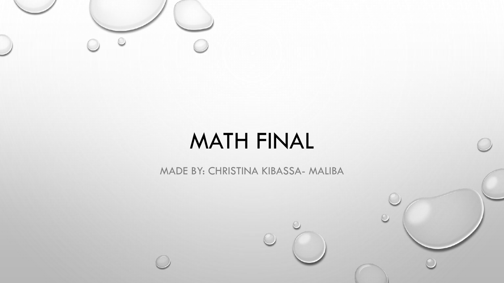

# MATH FINAL

MADE BY: CHRISTINA KIBASSA- MALIBA

 $\bigcap$ 

 $\odot$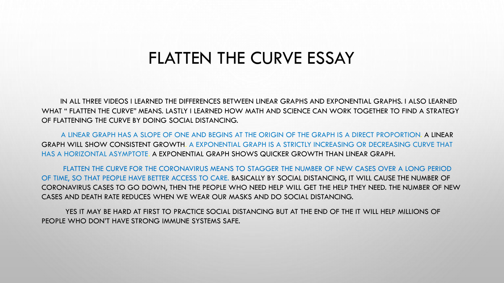### FLATTEN THE CURVE ESSAY

IN ALL THREE VIDEOS I LEARNED THE DIFFERENCES BETWEEN LINEAR GRAPHS AND EXPONENTIAL GRAPHS. I ALSO LEARNED WHAT " FLATTEN THE CURVE" MEANS. LASTLY I LEARNED HOW MATH AND SCIENCE CAN WORK TOGETHER TO FIND A STRATEGY OF FLATTENING THE CURVE BY DOING SOCIAL DISTANCING.

A LINEAR GRAPH HAS A SLOPE OF ONE AND BEGINS AT THE ORIGIN OF THE GRAPH IS A DIRECT PROPORTION. A LINEAR GRAPH WILL SHOW CONSISTENT GROWTH. A EXPONENTIAL GRAPH IS A STRICTLY INCREASING OR DECREASING CURVE THAT HAS A HORIZONTAL ASYMPTOTE. A EXPONENTIAL GRAPH SHOWS QUICKER GROWTH THAN LINEAR GRAPH.

FLATTEN THE CURVE FOR THE CORONAVIRUS MEANS TO STAGGER THE NUMBER OF NEW CASES OVER A LONG PERIOD OF TIME, SO THAT PEOPLE HAVE BETTER ACCESS TO CARE. BASICALLY BY SOCIAL DISTANCING, IT WILL CAUSE THE NUMBER OF CORONAVIRUS CASES TO GO DOWN, THEN THE PEOPLE WHO NEED HELP WILL GET THE HELP THEY NEED. THE NUMBER OF NEW CASES AND DEATH RATE REDUCES WHEN WE WEAR OUR MASKS AND DO SOCIAL DISTANCING.

YES IT MAY BE HARD AT FIRST TO PRACTICE SOCIAL DISTANCING BUT AT THE END OF THE IT WILL HELP MILLIONS OF PEOPLE WHO DON'T HAVE STRONG IMMUNE SYSTEMS SAFE.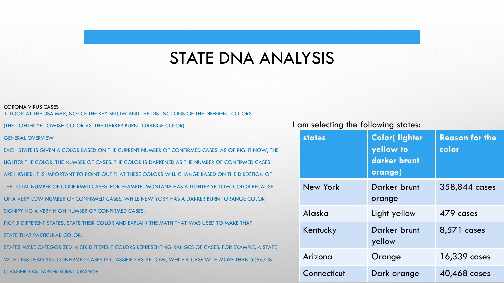### STATE DNA ANALYSIS

#### CORONA VIRUS CASES

1. LOOK AT THE USA MAP, NOTICE THE KEY BELOW AND THE DISTINCTIONS OF THE DIFFERENT COLORS.

(THE LIGHTER YELLOWISH COLOR VS. THE DARKER BURNT ORANGE COLOR).

GENERAL OVERVIEW

EACH STATE IS GIVEN A COLOR BASED ON THE CURRENT NUMBER OF CONFIRMED CASES. AS OF RIGHT NOW, THE LIGHTER THE COLOR, THE NUMBER OF CASES. THE COLOR IS DARKENED AS THE NUMBER OF CONFIRMED CASES ARE HIGHER. IT IS IMPORTANT TO POINT OUT THAT THESE COLORS WILL CHANGE BASED ON THE DIRECTION OF THE TOTAL NUMBER OF CONFIRMED CASES. FOR EXAMPLE, MONTANA HAS A LIGHTER YELLOW COLOR BECAUSE OF A VERY LOW NUMBER OF CONFIRMED CASES, WHILE NEW YORK HAS A DARKER BURNT ORANGE COLOR SIGNIFYING A VERY HIGH NUMBER OF CONFIRMED CASES. PICK 5 DIFFERENT STATES, STATE THEIR COLOR AND EXPLAIN THE MATH THAT WAS USED TO MAKE THAT STATE THAT PARTICULAR COLOR. STATES WERE CATEGORIZED IN SIX DIFFERENT COLORS REPRESENTING RANGES OF CASES. FOR EXAMPLE, A STATE WITH LESS THAN 595 CONFIRMED CASES IS CLASSIFIED AS YELLOW, WHILE A CASE WITH MORE THAN 50867 IS CLASSIFIED AS DARKER BURNT ORANGE.

#### I am selecting the following states:

| <b>states</b> | <b>Color(lighter</b><br>yellow to<br>darker brunt<br>orange) | <b>Reason for the</b><br>color |
|---------------|--------------------------------------------------------------|--------------------------------|
| New York      | Darker brunt<br>orange                                       | 358,844 cases                  |
| Alaska        | Light yellow                                                 | 479 cases                      |
| Kentucky      | Darker brunt<br>yellow                                       | 8,571 cases                    |
| Arizona       | Orange                                                       | 16,339 cases                   |
| Connecticut   | Dark orange                                                  | 40,468 cases                   |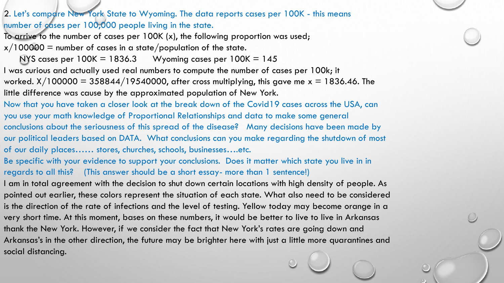### 2. Let's compare New York State to Wyoming. The data reports cases per 100K - this means number of cases per 100,000 people living in the state.

To arrive to the number of cases per 100K (x), the following proportion was used;  $x/100000 =$  number of cases in a state/population of the state.

NYS cases per  $100K = 1836.3$  Wyoming cases per  $100K = 145$ I was curious and actually used real numbers to compute the number of cases per 100k; it worked.  $X/100000 = 358844/19540000$ , after cross multiplying, this gave me  $x = 1836.46$ . The little difference was cause by the approximated population of New York.

Now that you have taken a closer look at the break down of the Covid19 cases across the USA, can you use your math knowledge of Proportional Relationships and data to make some general conclusions about the seriousness of this spread of the disease? Many decisions have been made by our political leaders based on DATA. What conclusions can you make regarding the shutdown of most of our daily places…… stores, churches, schools, businesses….etc.

Be specific with your evidence to support your conclusions. Does it matter which state you live in in regards to all this? (This answer should be a short essay- more than 1 sentence!)

I am in total agreement with the decision to shut down certain locations with high density of people. As pointed out earlier, these colors represent the situation of each state. What also need to be considered is the direction of the rate of infections and the level of testing. Yellow today may become orange in a very short time. At this moment, bases on these numbers, it would be better to live to live in Arkansas thank the New York. However, if we consider the fact that New York's rates are going down and Arkansas's in the other direction, the future may be brighter here with just a little more quarantines and social distancing.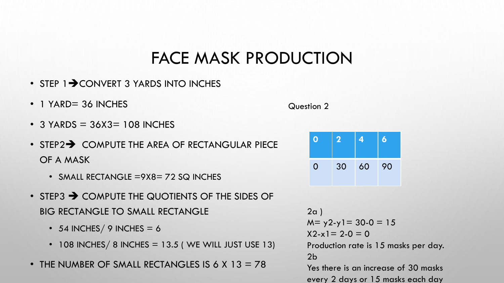## FACE MASK PRODUCTION

- STEP 1➔CONVERT 3 YARDS INTO INCHES
- 1 YARD= 36 INCHES
- $\cdot$  3 YARDS = 36X3= 108 INCHES
- STEP2➔ COMPUTE THE AREA OF RECTANGULAR PIECE OF A MASK
	- SMALL RECTANGLE =9X8= 72 SQ INCHES
- STEP3 ➔ COMPUTE THE QUOTIENTS OF THE SIDES OF BIG RECTANGLE TO SMALL RECTANGLE
	- 54 INCHES  $/$  9 INCHES = 6
	- $\cdot$  108 INCHES/ 8 INCHES = 13.5 (WE WILL JUST USE 13)
- THE NUMBER OF SMALL RECTANGLES IS 6 X 13 =  $78$

Question 2



2a )  $M = y2-y1 = 30-0 = 15$  $X2-x1= 2-0 = 0$ 

Production rate is 15 masks per day. 2b

Yes there is an increase of 30 masks every 2 days or 15 masks each day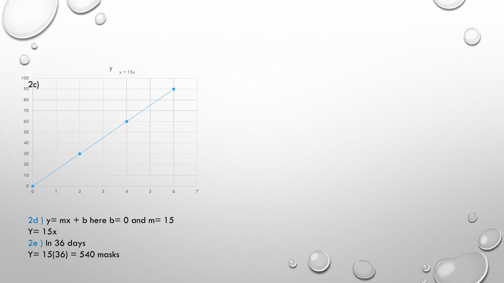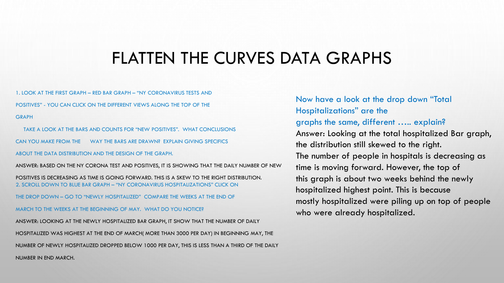### FLATTEN THE CURVES DATA GRAPHS

1. LOOK AT THE FIRST GRAPH – RED BAR GRAPH – "NY CORONAVIRUS TESTS AND POSITIVES" - YOU CAN CLICK ON THE DIFFERENT VIEWS ALONG THE TOP OF THE GRAPH

TAKE A LOOK AT THE BARS AND COUNTS FOR "NEW POSITIVES". WHAT CONCLUSIONS

CAN YOU MAKE FROM THE WAY THE BARS ARE DRAWN? EXPLAIN GIVING SPECIFICS

ABOUT THE DATA DISTRIBUTION AND THE DESIGN OF THE GRAPH.

ANSWER: BASED ON THE NY CORONA TEST AND POSITIVES, IT IS SHOWING THAT THE DAILY NUMBER OF NEW

POSITIVES IS DECREASING AS TIME IS GOING FORWARD. THIS IS A SKEW TO THE RIGHT DISTRIBUTION. 2. SCROLL DOWN TO BLUE BAR GRAPH – "NY CORONAVIRUS HOSPITALIZATIONS" CLICK ON

THE DROP DOWN – GO TO "NEWLY HOSPITALIZED" COMPARE THE WEEKS AT THE END OF

MARCH TO THE WEEKS AT THE BEGINNING OF MAY. WHAT DO YOU NOTICE?

ANSWER: LOOKING AT THE NEWLY HOSPITALIZED BAR GRAPH, IT SHOW THAT THE NUMBER OF DAILY

HOSPITALIZED WAS HIGHEST AT THE END OF MARCH( MORE THAN 3000 PER DAY) IN BEGINNING MAY, THE

NUMBER OF NEWLY HOSPITALIZED DROPPED BELOW 1000 PER DAY, THIS IS LESS THAN A THIRD OF THE DAILY

Now have a look at the drop down "Total Hospitalizations" are the graphs the same, different ….. explain? Answer: Looking at the total hospitalized Bar graph, the distribution still skewed to the right. The number of people in hospitals is decreasing as time is moving forward. However, the top of this graph is about two weeks behind the newly hospitalized highest point. This is because mostly hospitalized were piling up on top of people who were already hospitalized.

NUMBER IN END MARCH.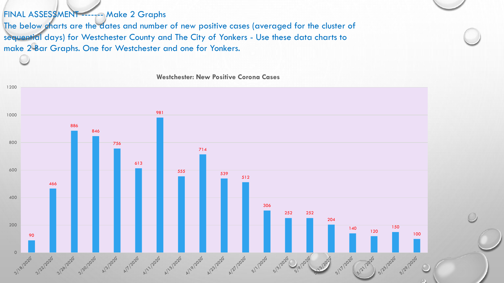#### FINAL ASSESSMENT ------- Make 2 Graphs

The below charts are the dates and number of new positive cases (averaged for the cluster of sequential days) for Westchester County and The City of Yonkers - Use these data charts to make 2 Bar Graphs. One for Westchester and one for Yonkers.

**Westchester: New Positive Corona Cases** 

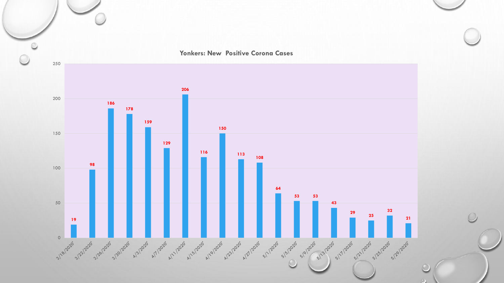